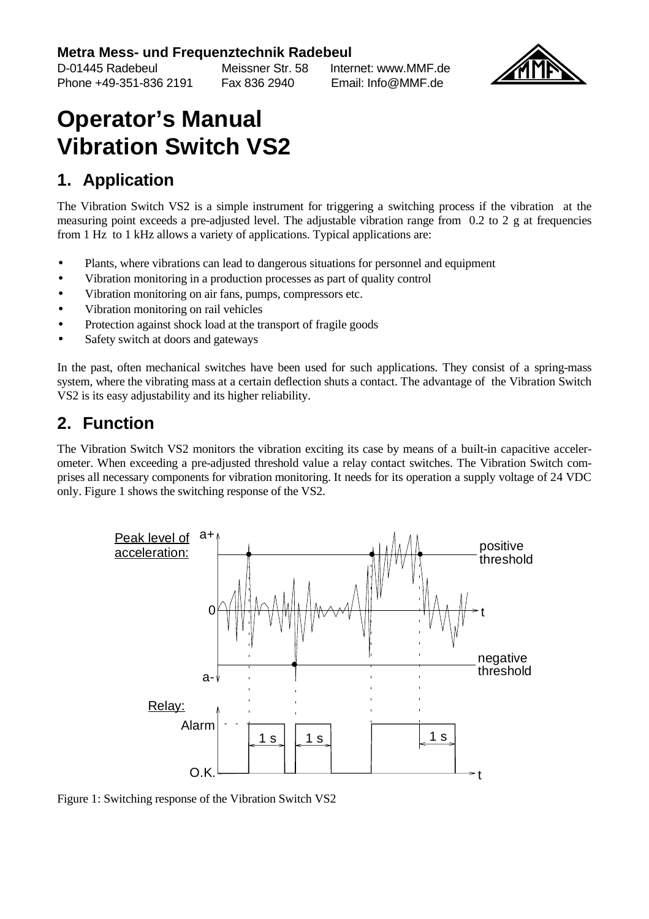#### **Metra Mess- und Frequenztechnik Radebeul**

D-01445 Radebeul Meissner Str. 58 Internet: www.MMF.de Phone +49-351-836 2191 Fax 836 2940 Email: Info@MMF.de



## **Operator's Manual Vibration Switch VS2**

## **1. Application**

The Vibration Switch VS2 is a simple instrument for triggering a switching process if the vibration at the measuring point exceeds a pre-adjusted level. The adjustable vibration range from 0.2 to 2 g at frequencies from 1 Hz to 1 kHz allows a variety of applications. Typical applications are:

- Plants, where vibrations can lead to dangerous situations for personnel and equipment
- Vibration monitoring in a production processes as part of quality control
- Vibration monitoring on air fans, pumps, compressors etc.
- Vibration monitoring on rail vehicles
- Protection against shock load at the transport of fragile goods
- Safety switch at doors and gateways

In the past, often mechanical switches have been used for such applications. They consist of a spring-mass system, where the vibrating mass at a certain deflection shuts a contact. The advantage of the Vibration Switch VS2 is its easy adjustability and its higher reliability.

## **2. Function**

The Vibration Switch VS2 monitors the vibration exciting its case by means of a built-in capacitive accelerometer. When exceeding a pre-adjusted threshold value a relay contact switches. The Vibration Switch comprises all necessary components for vibration monitoring. It needs for its operation a supply voltage of 24 VDC only. Figure 1 shows the switching response of the VS2.



Figure 1: Switching response of the Vibration Switch VS2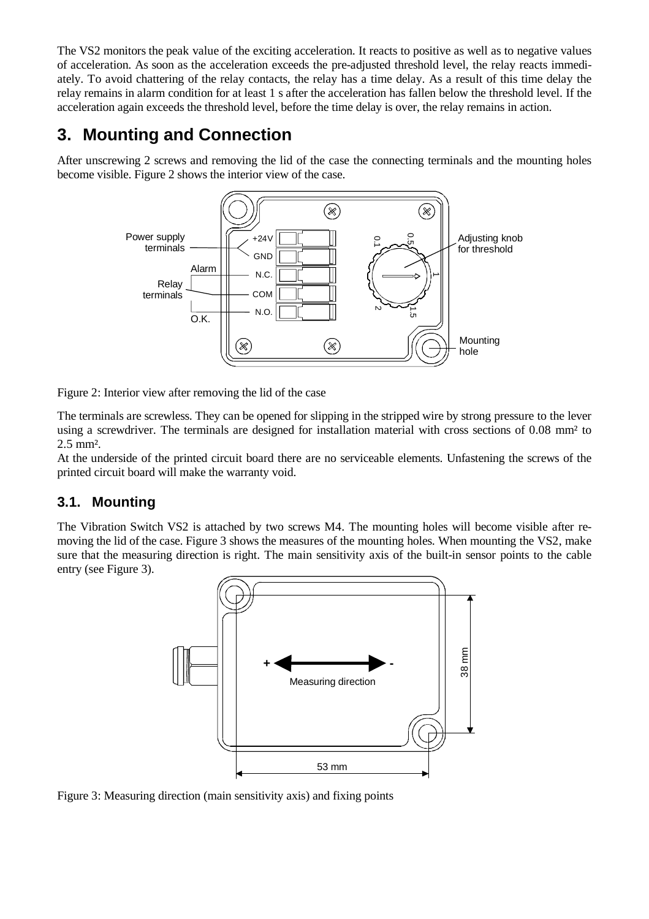The VS2 monitors the peak value of the exciting acceleration. It reacts to positive as well as to negative values of acceleration. As soon as the acceleration exceeds the pre-adjusted threshold level, the relay reacts immediately. To avoid chattering of the relay contacts, the relay has a time delay. As a result of this time delay the relay remains in alarm condition for at least 1 s after the acceleration has fallen below the threshold level. If the acceleration again exceeds the threshold level, before the time delay is over, the relay remains in action.

## **3. Mounting and Connection**

After unscrewing 2 screws and removing the lid of the case the connecting terminals and the mounting holes become visible. Figure 2 shows the interior view of the case.



Figure 2: Interior view after removing the lid of the case

The terminals are screwless. They can be opened for slipping in the stripped wire by strong pressure to the lever using a screwdriver. The terminals are designed for installation material with cross sections of 0.08 mm² to 2.5 mm².

At the underside of the printed circuit board there are no serviceable elements. Unfastening the screws of the printed circuit board will make the warranty void.

#### **3.1. Mounting**

The Vibration Switch VS2 is attached by two screws M4. The mounting holes will become visible after removing the lid of the case. Figure 3 shows the measures of the mounting holes. When mounting the VS2, make sure that the measuring direction is right. The main sensitivity axis of the built-in sensor points to the cable entry (see Figure 3).



Figure 3: Measuring direction (main sensitivity axis) and fixing points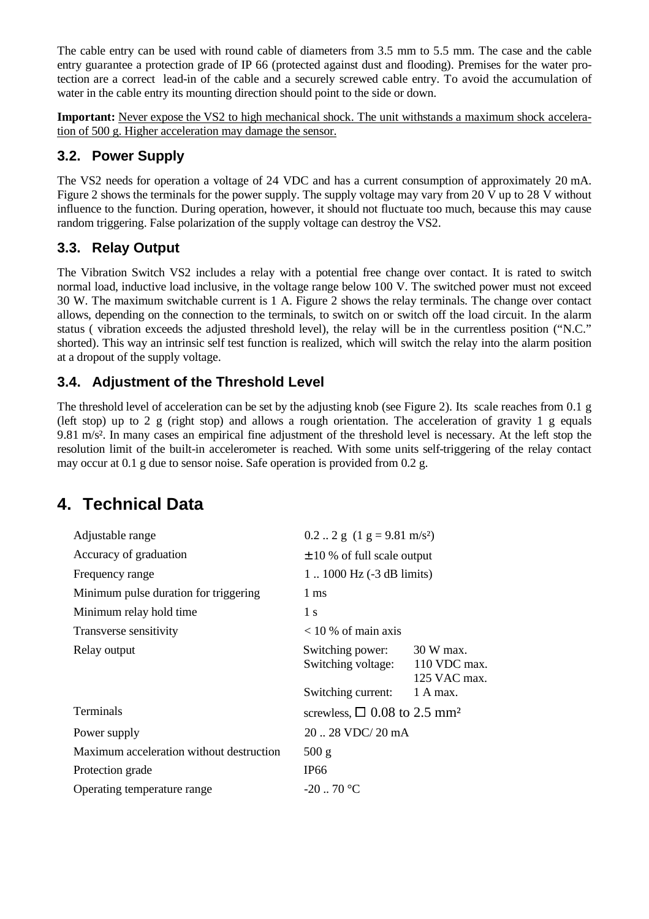The cable entry can be used with round cable of diameters from 3.5 mm to 5.5 mm. The case and the cable entry guarantee a protection grade of IP 66 (protected against dust and flooding). Premises for the water protection are a correct lead-in of the cable and a securely screwed cable entry. To avoid the accumulation of water in the cable entry its mounting direction should point to the side or down.

**Important:** Never expose the VS2 to high mechanical shock. The unit withstands a maximum shock acceleration of 500 g. Higher acceleration may damage the sensor.

#### **3.2. Power Supply**

The VS2 needs for operation a voltage of 24 VDC and has a current consumption of approximately 20 mA. Figure 2 shows the terminals for the power supply. The supply voltage may vary from 20 V up to 28 V without influence to the function. During operation, however, it should not fluctuate too much, because this may cause random triggering. False polarization of the supply voltage can destroy the VS2.

#### **3.3. Relay Output**

The Vibration Switch VS2 includes a relay with a potential free change over contact. It is rated to switch normal load, inductive load inclusive, in the voltage range below 100 V. The switched power must not exceed 30 W. The maximum switchable current is 1 A. Figure 2 shows the relay terminals. The change over contact allows, depending on the connection to the terminals, to switch on or switch off the load circuit. In the alarm status ( vibration exceeds the adjusted threshold level), the relay will be in the currentless position ("N.C." shorted). This way an intrinsic self test function is realized, which will switch the relay into the alarm position at a dropout of the supply voltage.

### **3.4. Adjustment of the Threshold Level**

The threshold level of acceleration can be set by the adjusting knob (see Figure 2). Its scale reaches from 0.1 g (left stop) up to 2 g (right stop) and allows a rough orientation. The acceleration of gravity 1 g equals 9.81 m/s². In many cases an empirical fine adjustment of the threshold level is necessary. At the left stop the resolution limit of the built-in accelerometer is reached. With some units self-triggering of the relay contact may occur at 0.1 g due to sensor noise. Safe operation is provided from 0.2 g.

## **4. Technical Data**

| Adjustable range                         | $0.2$ $2$ g $(1$ g = 9.81 m/s <sup>2</sup> )     |                                           |
|------------------------------------------|--------------------------------------------------|-------------------------------------------|
| Accuracy of graduation                   | $\pm$ 10 % of full scale output                  |                                           |
| Frequency range                          | 1 1000 Hz (-3 dB limits)                         |                                           |
| Minimum pulse duration for triggering    | 1 ms                                             |                                           |
| Minimum relay hold time                  | 1 s                                              |                                           |
| Transverse sensitivity                   | $< 10$ % of main axis                            |                                           |
| Relay output                             | Switching power:<br>Switching voltage:           | 30 W max.<br>110 VDC max.<br>125 VAC max. |
|                                          | Switching current:                               | 1 A max.                                  |
| Terminals                                | screwless, $\square$ 0.08 to 2.5 mm <sup>2</sup> |                                           |
| Power supply                             | $20 - 28$ VDC/ $20$ mA                           |                                           |
| Maximum acceleration without destruction | 500 g                                            |                                           |
| Protection grade                         | IP <sub>66</sub>                                 |                                           |
| Operating temperature range              | $-20.70$ °C                                      |                                           |